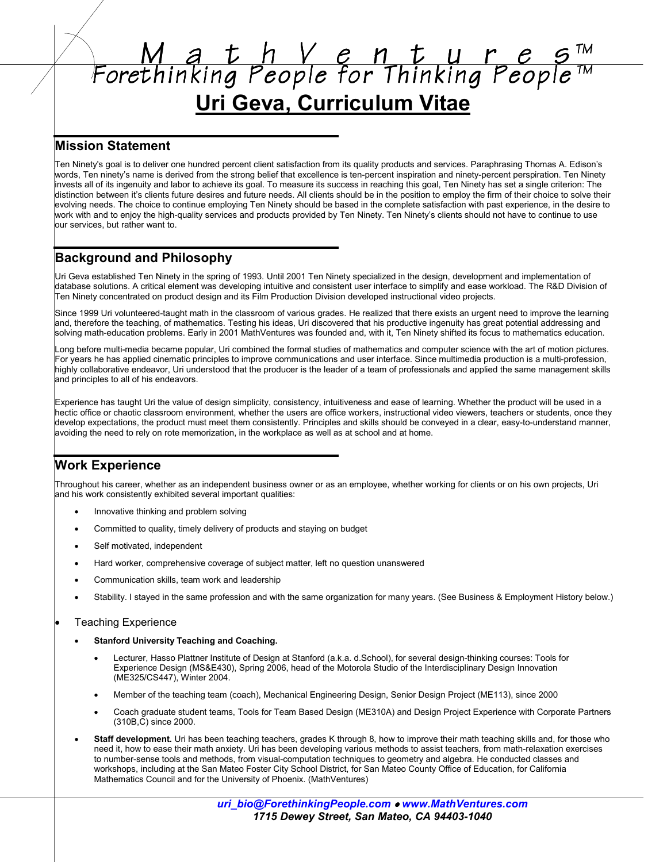# $M$  a t h V e n t u r e s<sup>TM</sup><br>Forethinking People for Thinking People<sup>TM</sup> Uri Geva, Curriculum Vitae

## **Mission Statement**

Ten Ninety's goal is to deliver one hundred percent client satisfaction from its quality products and services. Paraphrasing Thomas A. Edison's words, Ten ninety's name is derived from the strong belief that excellence is ten-percent inspiration and ninety-percent perspiration. Ten Ninety invests all of its ingenuity and labor to achieve its goal. To measure its success in reaching this goal, Ten Ninety has set a single criterion: The distinction between it's clients future desires and future needs. All clients should be in the position to employ the firm of their choice to solve their evolving needs. The choice to continue employing Ten Ninety should be based in the complete satisfaction with past experience, in the desire to work with and to enjoy the high-quality services and products provided by Ten Ninety. Ten Ninety's clients should not have to continue to use our services, but rather want to.

# **Background and Philosophy**

Uri Geva established Ten Ninety in the spring of 1993. Until 2001 Ten Ninety specialized in the design, development and implementation of database solutions. A critical element was developing intuitive and consistent user interface to simplify and ease workload. The R&D Division of Ten Ninety concentrated on product design and its Film Production Division developed instructional video projects.

Since 1999 Uri volunteered-taught math in the classroom of various grades. He realized that there exists an urgent need to improve the learning and, therefore the teaching, of mathematics. Testing his ideas, Uri discovered that his productive ingenuity has great potential addressing and solving math-education problems. Early in 2001 MathVentures was founded and, with it, Ten Ninety shifted its focus to mathematics education.

Long before multi-media became popular, Uri combined the formal studies of mathematics and computer science with the art of motion pictures. For years he has applied cinematic principles to improve communications and user interface. Since multimedia production is a multi-profession, highly collaborative endeavor, Uri understood that the producer is the leader of a team of professionals and applied the same management skills and principles to all of his endeavors.

Experience has taught Uri the value of design simplicity, consistency, intuitiveness and ease of learning. Whether the product will be used in a hectic office or chaotic classroom environment, whether the users are office workers, instructional video viewers, teachers or students, once they develop expectations, the product must meet them consistently. Principles and skills should be conveyed in a clear, easy-to-understand manner, avoiding the need to rely on rote memorization, in the workplace as well as at school and at home.

# **Work Experience**

Throughout his career, whether as an independent business owner or as an employee, whether working for clients or on his own projects, Uri and his work consistently exhibited several important qualities:

- Innovative thinking and problem solving
- Committed to quality, timely delivery of products and staying on budget
- Self motivated, independent
- Hard worker, comprehensive coverage of subject matter, left no question unanswered
- Communication skills, team work and leadership
- Stability. I stayed in the same profession and with the same organization for many years. (See Business & Employment History below.)

## **Teaching Experience**

- **Stanford University Teaching and Coaching.** 
	- Lecturer, Hasso Plattner Institute of Design at Stanford (a.k.a. d.School), for several design-thinking courses: Tools for Experience Design (MS&E430), Spring 2006, head of the Motorola Studio of the Interdisciplinary Design Innovation (ME325/CS447), Winter 2004.
	- Member of the teaching team (coach), Mechanical Engineering Design, Senior Design Project (ME113), since 2000
	- Coach graduate student teams, Tools for Team Based Design (ME310A) and Design Project Experience with Corporate Partners (310B.C) since 2000.
- Staff development. Uri has been teaching teachers, grades K through 8, how to improve their math teaching skills and, for those who need it, how to ease their math anxiety. Uri has been developing various methods to assist teachers, from math-relaxation exercises to number-sense tools and methods, from visual-computation techniques to geometry and algebra. He conducted classes and workshops, including at the San Mateo Foster City School District, for San Mateo County Office of Education, for California Mathematics Council and for the University of Phoenix. (MathVentures)